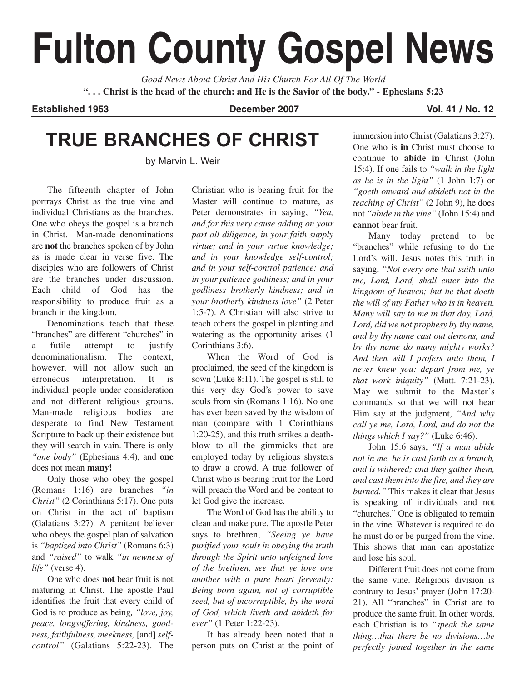# **Fulton County Gospel News**

*Good News About Christ And His Church For All Of The World* **". . . Christ is the head of the church: and He is the Savior of the body." - Ephesians 5:23**

**Established 1953 December 2007 Vol. 41 / No. 12**

# **TRUE BRANCHES OF CHRIST**

by Marvin L. Weir

The fifteenth chapter of John portrays Christ as the true vine and individual Christians as the branches. One who obeys the gospel is a branch in Christ. Man-made denominations are **not** the branches spoken of by John as is made clear in verse five. The disciples who are followers of Christ are the branches under discussion. Each child of God has the responsibility to produce fruit as a branch in the kingdom.

Denominations teach that these "branches" are different "churches" in a futile attempt to justify denominationalism. The context, however, will not allow such an erroneous interpretation. It is individual people under consideration and not different religious groups. Man-made religious bodies are desperate to find New Testament Scripture to back up their existence but they will search in vain. There is only *"one body"* (Ephesians 4:4), and **one** does not mean **many!**

Only those who obey the gospel (Romans 1:16) are branches *"in Christ"* (2 Corinthians 5:17). One puts on Christ in the act of baptism (Galatians 3:27). A penitent believer who obeys the gospel plan of salvation is *"baptized into Christ"* (Romans 6:3) and *"raised"* to walk *"in newness of life"* (verse 4).

One who does **not** bear fruit is not maturing in Christ. The apostle Paul identifies the fruit that every child of God is to produce as being*, "love, joy, peace, longsuffering, kindness, goodness, faithfulness, meekness,* [and] *selfcontrol"* (Galatians 5:22-23). The Christian who is bearing fruit for the Master will continue to mature, as Peter demonstrates in saying, *"Yea, and for this very cause adding on your part all diligence, in your faith supply virtue; and in your virtue knowledge; and in your knowledge self-control; and in your self-control patience; and in your patience godliness; and in your godliness brotherly kindness; and in your brotherly kindness love"* (2 Peter 1:5-7). A Christian will also strive to teach others the gospel in planting and watering as the opportunity arises (1 Corinthians 3:6).

When the Word of God is proclaimed, the seed of the kingdom is sown (Luke 8:11). The gospel is still to this very day God's power to save souls from sin (Romans 1:16). No one has ever been saved by the wisdom of man (compare with 1 Corinthians 1:20-25), and this truth strikes a deathblow to all the gimmicks that are employed today by religious shysters to draw a crowd. A true follower of Christ who is bearing fruit for the Lord will preach the Word and be content to let God give the increase.

The Word of God has the ability to clean and make pure. The apostle Peter says to brethren, *"Seeing ye have purified your souls in obeying the truth through the Spirit unto unfeigned love of the brethren, see that ye love one another with a pure heart fervently: Being born again, not of corruptible seed, but of incorruptible, by the word of God, which liveth and abideth for ever"* (1 Peter 1:22-23).

It has already been noted that a person puts on Christ at the point of immersion into Christ (Galatians 3:27). One who is **in** Christ must choose to continue to **abide in** Christ (John 15:4). If one fails to *"walk in the light as he is in the light"* (1 John 1:7) or *"goeth onward and abideth not in the teaching of Christ"* (2 John 9), he does not *"abide in the vine"* (John 15:4) and **cannot** bear fruit.

Many today pretend to be "branches" while refusing to do the Lord's will. Jesus notes this truth in saying, *"Not every one that saith unto me, Lord, Lord, shall enter into the kingdom of heaven; but he that doeth the will of my Father who is in heaven. Many will say to me in that day, Lord, Lord, did we not prophesy by thy name, and by thy name cast out demons, and by thy name do many mighty works? And then will I profess unto them, I never knew you: depart from me, ye that work iniquity"* (Matt. 7:21-23). May we submit to the Master's commands so that we will not hear Him say at the judgment, *"And why call ye me, Lord, Lord, and do not the things which I say?"* (Luke 6:46).

John 15:6 says, *"If a man abide not in me, he is cast forth as a branch, and is withered; and they gather them, and cast them into the fire, and they are burned."* This makes it clear that Jesus is speaking of individuals and not "churches." One is obligated to remain in the vine. Whatever is required to do he must do or be purged from the vine. This shows that man can apostatize and lose his soul.

Different fruit does not come from the same vine. Religious division is contrary to Jesus' prayer (John 17:20- 21). All "branches" in Christ are to produce the same fruit. In other words, each Christian is to *"speak the same thing…that there be no divisions…be perfectly joined together in the same*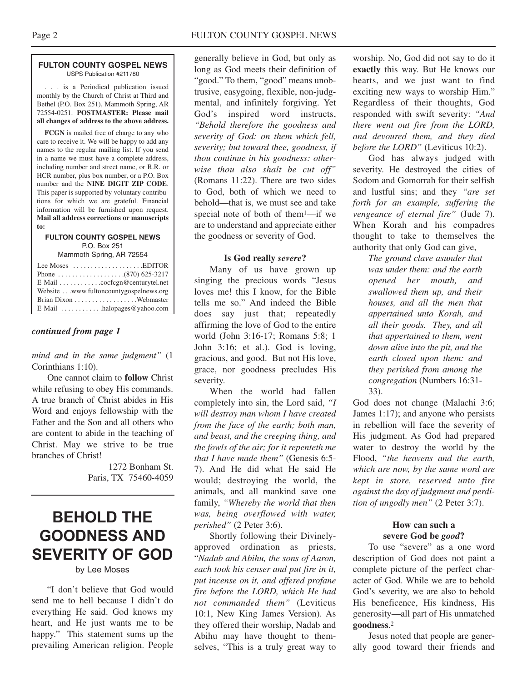#### **FULTON COUNTY GOSPEL NEWS** USPS Publication #211780

. . . is a Periodical publication issued monthly by the Church of Christ at Third and Bethel (P.O. Box 251), Mammoth Spring, AR 72554-0251. **POSTMASTER: Please mail all changes of address to the above address.**

**FCGN** is mailed free of charge to any who care to receive it. We will be happy to add any names to the regular mailing list. If you send in a name we must have a complete address, including number and street name, or R.R. or HCR number, plus box number, or a P.O. Box number and the **NINE DIGIT ZIP CODE**. This paper is supported by voluntary contributions for which we are grateful. Financial information will be furnished upon request. **Mail all address corrections or manuscripts to:**

#### **FULTON COUNTY GOSPEL NEWS** P.O. Box 251

Mammoth Spring, AR 72554

| Lee Moses $\dots\dots\dots\dots\dots\dots$ . EDITOR |  |
|-----------------------------------------------------|--|
|                                                     |  |
| E-Mail cocfcgn@centurytel.net                       |  |
| Website www.fultoncountygospelnews.org              |  |
|                                                     |  |
| E-Mail $\dots \dots \dots$ halopages @ yahoo.com    |  |

#### *continued from page 1*

#### *mind and in the same judgment"* (1 Corinthians 1:10).

One cannot claim to **follow** Christ while refusing to obey His commands. A true branch of Christ abides in His Word and enjoys fellowship with the Father and the Son and all others who are content to abide in the teaching of Christ. May we strive to be true branches of Christ!

> 1272 Bonham St. Paris, TX 75460-4059

## **BEHOLD THE GOODNESS AND SEVERITY OF GOD**

#### by Lee Moses

"I don't believe that God would send me to hell because I didn't do everything He said. God knows my heart, and He just wants me to be happy." This statement sums up the prevailing American religion. People

generally believe in God, but only as long as God meets their definition of "good." To them, "good" means unobtrusive, easygoing, flexible, non-judgmental, and infinitely forgiving. Yet God's inspired word instructs, *"Behold therefore the goodness and severity of God: on them which fell, severity; but toward thee, goodness, if thou continue in his goodness: otherwise thou also shalt be cut off"* (Romans 11:22). There are two sides to God, both of which we need to behold—that is, we must see and take special note of both of them1—if we are to understand and appreciate either the goodness or severity of God.

#### **Is God really** *severe***?**

Many of us have grown up singing the precious words "Jesus loves me! this I know, for the Bible tells me so." And indeed the Bible does say just that; repeatedly affirming the love of God to the entire world (John 3:16-17; Romans 5:8; 1 John 3:16; et al.). God is loving, gracious, and good. But not His love, grace, nor goodness precludes His severity.

When the world had fallen completely into sin, the Lord said, *"I will destroy man whom I have created from the face of the earth; both man, and beast, and the creeping thing, and the fowls of the air; for it repenteth me that I have made them"* (Genesis 6:5- 7). And He did what He said He would; destroying the world, the animals, and all mankind save one family, *"Whereby the world that then was, being overflowed with water, perished"* (2 Peter 3:6).

Shortly following their Divinelyapproved ordination as priests, "*Nadab and Abihu, the sons of Aaron, each took his censer and put fire in it, put incense on it, and offered profane fire before the LORD, which He had not commanded them"* (Leviticus 10:1, New King James Version). As they offered their worship, Nadab and Abihu may have thought to themselves, "This is a truly great way to worship. No, God did not say to do it **exactly** this way. But He knows our hearts, and we just want to find exciting new ways to worship Him." Regardless of their thoughts, God responded with swift severity: *"And there went out fire from the LORD, and devoured them, and they died before the LORD"* (Leviticus 10:2).

God has always judged with severity. He destroyed the cities of Sodom and Gomorrah for their selfish and lustful sins; and they *"are set forth for an example, suffering the vengeance of eternal fire"* (Jude 7). When Korah and his compadres thought to take to themselves the authority that only God can give,

> *The ground clave asunder that was under them: and the earth opened her mouth, and swallowed them up, and their houses, and all the men that appertained unto Korah, and all their goods. They, and all that appertained to them, went down alive into the pit, and the earth closed upon them: and they perished from among the congregation* (Numbers 16:31- 33).

God does not change (Malachi 3:6; James 1:17); and anyone who persists in rebellion will face the severity of His judgment. As God had prepared water to destroy the world by the Flood, *"the heavens and the earth, which are now, by the same word are kept in store, reserved unto fire against the day of judgment and perdition of ungodly men"* (2 Peter 3:7).

#### **How can such a severe God be** *good***?**

To use "severe" as a one word description of God does not paint a complete picture of the perfect character of God. While we are to behold God's severity, we are also to behold His beneficence, His kindness, His generosity—all part of His unmatched **goodness**.2

Jesus noted that people are generally good toward their friends and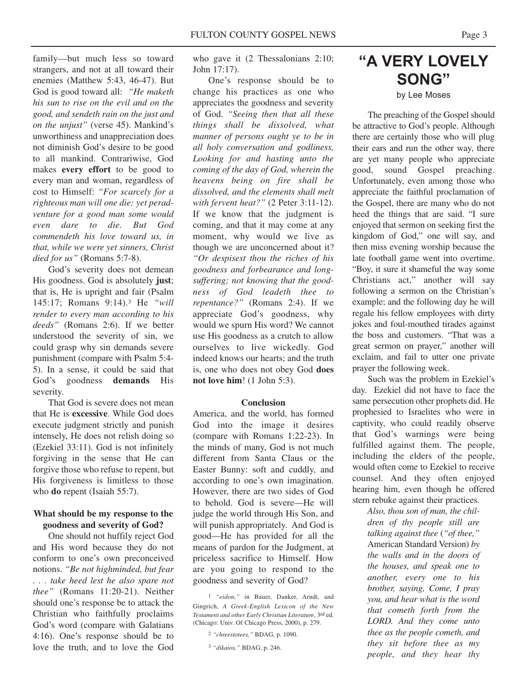family—but much less so toward strangers, and not at all toward their enemies (Matthew 5:43, 46-47). But God is good toward all: *"He maketh his sun to rise on the evil and on the good, and sendeth rain on the just and on the unjust"* (verse 45). Mankind's unworthiness and unappreciation does not diminish God's desire to be good to all mankind. Contrariwise, God makes **every effort** to be good to every man and woman, regardless of cost to Himself: *"For scarcely for a righteous man will one die: yet peradventure for a good man some would even dare to die. But God commendeth his love toward us, in that, while we were yet sinners, Christ died for us"* (Romans 5:7-8).

God's severity does not demean His goodness. God is absolutely **just**; that is, He is upright and fair (Psalm 145:17; Romans 9:14).3 He *"will render to every man according to his deeds"* (Romans 2:6). If we better understood the severity of sin, we could grasp why sin demands severe punishment (compare with Psalm 5:4- 5). In a sense, it could be said that God's goodness **demands** His severity.

That God is severe does not mean that He is **excessive**. While God does execute judgment strictly and punish intensely, He does not relish doing so (Ezekiel 33:11). God is not infinitely forgiving in the sense that He can forgive those who refuse to repent, but His forgiveness is limitless to those who **do** repent (Isaiah 55:7).

#### **What should be my response to the goodness and severity of God?**

One should not huffily reject God and His word because they do not conform to one's own preconceived notions. *"Be not highminded, but fear . . . take heed lest he also spare not thee"* (Romans 11:20-21). Neither should one's response be to attack the Christian who faithfully proclaims God's word (compare with Galatians 4:16). One's response should be to love the truth, and to love the God

who gave it (2 Thessalonians 2:10; John 17:17).

One's response should be to change his practices as one who appreciates the goodness and severity of God. *"Seeing then that all these things shall be dissolved, what manner of persons ought ye to be in all holy conversation and godliness, Looking for and hasting unto the coming of the day of God, wherein the heavens being on fire shall be dissolved, and the elements shall melt with fervent heat?"* (2 Peter 3:11-12). If we know that the judgment is coming, and that it may come at any moment, why would we live as though we are unconcerned about it? *"Or despisest thou the riches of his goodness and forbearance and longsuffering; not knowing that the goodness of God leadeth thee to repentance?"* (Romans 2:4). If we appreciate God's goodness, why would we spurn His word? We cannot use His goodness as a crutch to allow ourselves to live wickedly. God indeed knows our hearts; and the truth is, one who does not obey God **does not love him**! (1 John 5:3).

#### **Conclusion**

America, and the world, has formed God into the image it desires (compare with Romans 1:22-23). In the minds of many, God is not much different from Santa Claus or the Easter Bunny: soft and cuddly, and according to one's own imagination. However, there are two sides of God to behold. God is severe—He will judge the world through His Son, and will punish appropriately. And God is good—He has provided for all the means of pardon for the Judgment, at priceless sacrifice to Himself. How are you going to respond to the goodness and severity of God?

### **"A VERY LOVELY SONG"** by Lee Moses

The preaching of the Gospel should be attractive to God's people. Although there are certainly those who will plug their ears and run the other way, there are yet many people who appreciate good, sound Gospel preaching. Unfortunately, even among those who appreciate the faithful proclamation of the Gospel, there are many who do not heed the things that are said. "I sure enjoyed that sermon on seeking first the kingdom of God," one will say, and then miss evening worship because the late football game went into overtime. "Boy, it sure it shameful the way some Christians act," another will say following a sermon on the Christian's example; and the following day he will regale his fellow employees with dirty jokes and foul-mouthed tirades against the boss and customers. "That was a great sermon on prayer," another will exclaim, and fail to utter one private prayer the following week.

Such was the problem in Ezekiel's day. Ezekiel did not have to face the same persecution other prophets did. He prophesied to Israelites who were in captivity, who could readily observe that God's warnings were being fulfilled against them. The people, including the elders of the people, would often come to Ezekiel to receive counsel. And they often enjoyed hearing him, even though he offered stern rebuke against their practices.

*Also, thou son of man, the children of thy people still are talking against thee* (*"of thee,"* American Standard Version) *by the walls and in the doors of the houses, and speak one to another, every one to his brother, saying, Come, I pray you, and hear what is the word that cometh forth from the LORD. And they come unto thee as the people cometh, and they sit before thee as my people, and they hear thy*

<sup>1</sup> *"eidon,"* in Bauer, Danker, Arndt, and Gingrich, *A Greek-English Lexicon of the New Testament and other Early Christian Literature*, 3rd ed. (Chicago: Univ. Of Chicago Press, 2000), p. 279.

<sup>2</sup> *"chreestotees,"* BDAG, p. 1090.

<sup>3</sup> *"dikaios,"* BDAG, p. 246.